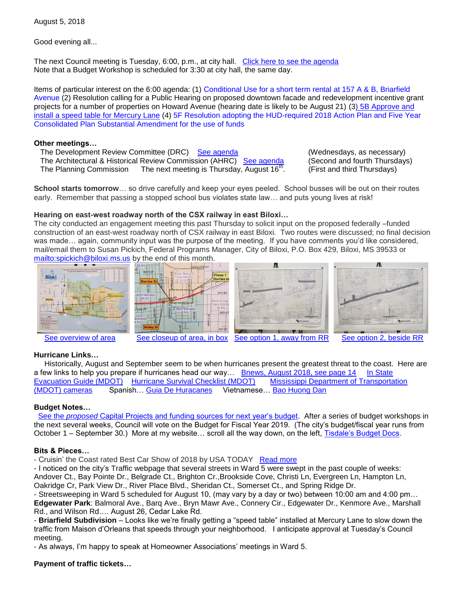August 5, 2018

Good evening all...

The next Council meeting is Tuesday, 6:00, p.m., at city hall. [Click here to see the agenda](https://www.biloxi.ms.us/agendas/citycouncil/2018/080718/080718agenda.pdf) Note that a Budget Workshop is scheduled for 3:30 at city hall, the same day.

Items of particular interest on the 6:00 agenda: (1) [Conditional Use for a short term rental at 157 A & B, Briarfield](https://www.biloxi.ms.us/agendas/citycouncil/2018/080718/080718bpc.pdf)  [Avenue](https://www.biloxi.ms.us/agendas/citycouncil/2018/080718/080718bpc.pdf) (2) Resolution calling for a Public Hearing on proposed downtown facade and redevelopment incentive grant projects for a number of properties on Howard Avenue (hearing date is likely to be August 21) ([3\) 5B Approve and](https://www.biloxi.ms.us/agendas/citycouncil/2018/080718/080718apur.pdf)  [install a speed table for Mercury Lane](https://www.biloxi.ms.us/agendas/citycouncil/2018/080718/080718apur.pdf) (4) 5F [Resolution adopting the HUD-required 2018 Action Plan and Five Year](https://www.biloxi.ms.us/agendas/citycouncil/2018/080718/080718fsp.pdf)  [Consolidated Plan Substantial Amendment for the use of funds](https://www.biloxi.ms.us/agendas/citycouncil/2018/080718/080718fsp.pdf)

### **Other meetings…**

 The Development Review Committee (DRC) [See agenda](https://www.biloxi.ms.us/agendas/DRC/2018/DRC-2018-08-08.pdf) (Wednesdays, as necessary) The Architectural & Historical Review Commission (AHRC) [See agenda](https://www.biloxi.ms.us/agendas/AHRC/2018/AHRC-2018-08-09.pdf) (Second and fourth Thursdays) The Planning Commission The next meeting is Thursday, August  $16<sup>th</sup>$ .

. (First and third Thursdays)

**School starts tomorrow**… so drive carefully and keep your eyes peeled. School busses will be out on their routes early. Remember that passing a stopped school bus violates state law… and puts young lives at risk!

# **Hearing on east-west roadway north of the CSX railway in east Biloxi…**

The city conducted an engagement meeting this past Thursday to solicit input on the proposed federally –funded construction of an east-west roadway north of CSX railway in east Biloxi. Two routes were discussed; no final decision was made… again, community input was the purpose of the meeting. If you have comments you'd like considered, mail/email them to Susan Pickich, Federal Programs Manager, City of Biloxi, P.O. Box 429, Biloxi, MS 39533 or <mailto:spickich@biloxi.ms.us> by the end of this month.









[See overview of area](http://tisdaleforbiloxi.com/wp-content/uploads/2018/08/RR-closure-2.jpg) [See closeup of area, in box](http://tisdaleforbiloxi.com/wp-content/uploads/2018/08/RR-closure-1.jpg) [See option 1, away from RR](http://tisdaleforbiloxi.com/wp-content/uploads/2018/08/RR-closure-3.jpg) [See option 2, beside RR](http://tisdaleforbiloxi.com/wp-content/uploads/2018/08/RR-closure-4.jpg)

# **Hurricane Links…**

 Historically, August and September seem to be when hurricanes present the greatest threat to the coast. Here are a few links to help you prepare if hurricanes head our way... [Bnews, August 2018, see page 14](https://www.biloxi.ms.us/wp-content/uploads/2018/07/BNewsMonthlyAugust2018.pdf) In State [Evacuation Guide \(MDOT\)](http://mdot.ms.gov/hurricanes/prepare/pdf/hurricane-evacuation-guide-2017.pdf) [Hurricane Survival Checklist \(MDOT\)](http://mdot.ms.gov/hurricanes/pdf/hurricane-checklist-2017.pdf) [Mississippi Department of Transportation](https://www.mdottraffic.com/)  [\(MDOT\) cameras](https://www.mdottraffic.com/) Spanish… [Guia De Huracanes](http://mdot.ms.gov/hurricanes/pdf/heg-espanol-2018.pdf) Vietnamese… [Bao Huong Dan](http://mdot.ms.gov/hurricanes/pdf/heg-vet-2018.pdf)

### **Budget Notes…**

 See the *proposed* [Capital Projects and funding sources for next year's budget.](http://tisdaleforbiloxi.com/wp-content/uploads/2018/08/FY19-Proposed-Capital-Projects-funding-07-31-18-1-1.pdf) After a series of budget workshops in the next several weeks, Council will vote on the Budget for Fiscal Year 2019. (The city's budget/fiscal year runs from October 1 – September 30.) More at my website… scroll all the way down, on the left, [Tisdale's Budget Docs.](http://tisdaleforbiloxi.com/)

## **Bits & Pieces…**

- Cruisin' the Coast rated Best Car Show of 2018 by USA TODAY [Read more](https://www.10best.com/awards/travel/best-car-show/)

- I noticed on the city's Traffic webpage that several streets in Ward 5 were swept in the past couple of weeks: Andover Ct., Bay Pointe Dr., Belgrade Ct., Brighton Cr.,Brookside Cove, Christi Ln, Evergreen Ln, Hampton Ln, Oakridge Cr, Park View Dr., River Place Blvd., Sheridan Ct., Somerset Ct., and Spring Ridge Dr.

- Streetsweeping in Ward 5 scheduled for August 10, (may vary by a day or two) between 10:00 am and 4:00 pm… **Edgewater Park**: Balmoral Ave., Barq Ave., Bryn Mawr Ave., Connery Cir., Edgewater Dr., Kenmore Ave., Marshall Rd., and Wilson Rd…. August 26, Cedar Lake Rd.

- **Briarfield Subdivision** – Looks like we're finally getting a "speed table" installed at Mercury Lane to slow down the traffic from Maison d'Orleans that speeds through your neighborhood. I anticipate approval at Tuesday's Council meeting.

- As always, I'm happy to speak at Homeowner Associations' meetings in Ward 5.

# **Payment of traffic tickets…**